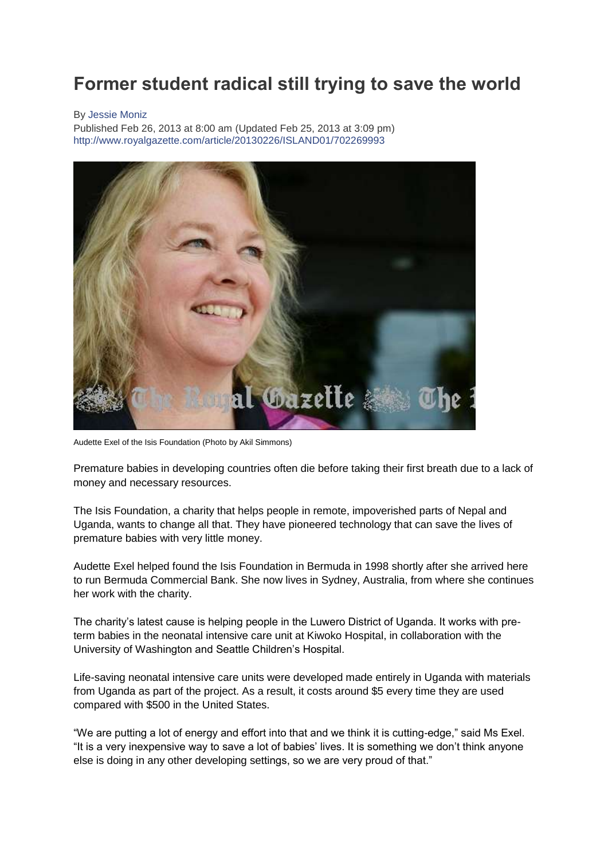## **Former student radical still trying to save the world**

## By [Jessie Moniz](mailto:jmoniz@royalgazette.bm)

Published Feb 26, 2013 at 8:00 am (Updated Feb 25, 2013 at 3:09 pm) <http://www.royalgazette.com/article/20130226/ISLAND01/702269993>



Audette Exel of the Isis Foundation (Photo by Akil Simmons)

Premature babies in developing countries often die before taking their first breath due to a lack of money and necessary resources.

The Isis Foundation, a charity that helps people in remote, impoverished parts of Nepal and Uganda, wants to change all that. They have pioneered technology that can save the lives of premature babies with very little money.

Audette Exel helped found the Isis Foundation in Bermuda in 1998 shortly after she arrived here to run Bermuda Commercial Bank. She now lives in Sydney, Australia, from where she continues her work with the charity.

The charity's latest cause is helping people in the Luwero District of Uganda. It works with preterm babies in the neonatal intensive care unit at Kiwoko Hospital, in collaboration with the University of Washington and Seattle Children's Hospital.

Life-saving neonatal intensive care units were developed made entirely in Uganda with materials from Uganda as part of the project. As a result, it costs around \$5 every time they are used compared with \$500 in the United States.

"We are putting a lot of energy and effort into that and we think it is cutting-edge," said Ms Exel. "It is a very inexpensive way to save a lot of babies' lives. It is something we don't think anyone else is doing in any other developing settings, so we are very proud of that."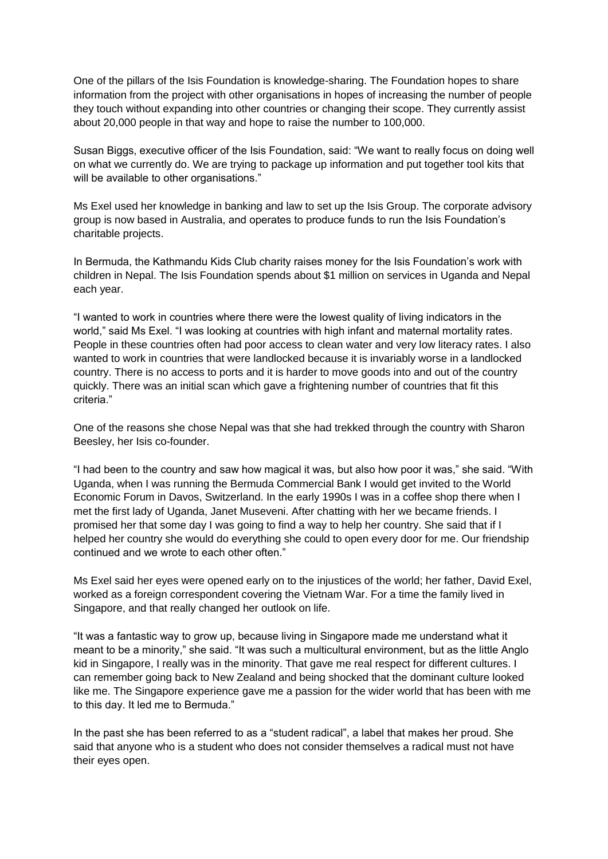One of the pillars of the Isis Foundation is knowledge-sharing. The Foundation hopes to share information from the project with other organisations in hopes of increasing the number of people they touch without expanding into other countries or changing their scope. They currently assist about 20,000 people in that way and hope to raise the number to 100,000.

Susan Biggs, executive officer of the Isis Foundation, said: "We want to really focus on doing well on what we currently do. We are trying to package up information and put together tool kits that will be available to other organisations."

Ms Exel used her knowledge in banking and law to set up the Isis Group. The corporate advisory group is now based in Australia, and operates to produce funds to run the Isis Foundation's charitable projects.

In Bermuda, the Kathmandu Kids Club charity raises money for the Isis Foundation's work with children in Nepal. The Isis Foundation spends about \$1 million on services in Uganda and Nepal each year.

"I wanted to work in countries where there were the lowest quality of living indicators in the world," said Ms Exel. "I was looking at countries with high infant and maternal mortality rates. People in these countries often had poor access to clean water and very low literacy rates. I also wanted to work in countries that were landlocked because it is invariably worse in a landlocked country. There is no access to ports and it is harder to move goods into and out of the country quickly. There was an initial scan which gave a frightening number of countries that fit this criteria."

One of the reasons she chose Nepal was that she had trekked through the country with Sharon Beesley, her Isis co-founder.

"I had been to the country and saw how magical it was, but also how poor it was," she said. "With Uganda, when I was running the Bermuda Commercial Bank I would get invited to the World Economic Forum in Davos, Switzerland. In the early 1990s I was in a coffee shop there when I met the first lady of Uganda, Janet Museveni. After chatting with her we became friends. I promised her that some day I was going to find a way to help her country. She said that if I helped her country she would do everything she could to open every door for me. Our friendship continued and we wrote to each other often."

Ms Exel said her eyes were opened early on to the injustices of the world; her father, David Exel, worked as a foreign correspondent covering the Vietnam War. For a time the family lived in Singapore, and that really changed her outlook on life.

"It was a fantastic way to grow up, because living in Singapore made me understand what it meant to be a minority," she said. "It was such a multicultural environment, but as the little Anglo kid in Singapore, I really was in the minority. That gave me real respect for different cultures. I can remember going back to New Zealand and being shocked that the dominant culture looked like me. The Singapore experience gave me a passion for the wider world that has been with me to this day. It led me to Bermuda."

In the past she has been referred to as a "student radical", a label that makes her proud. She said that anyone who is a student who does not consider themselves a radical must not have their eyes open.